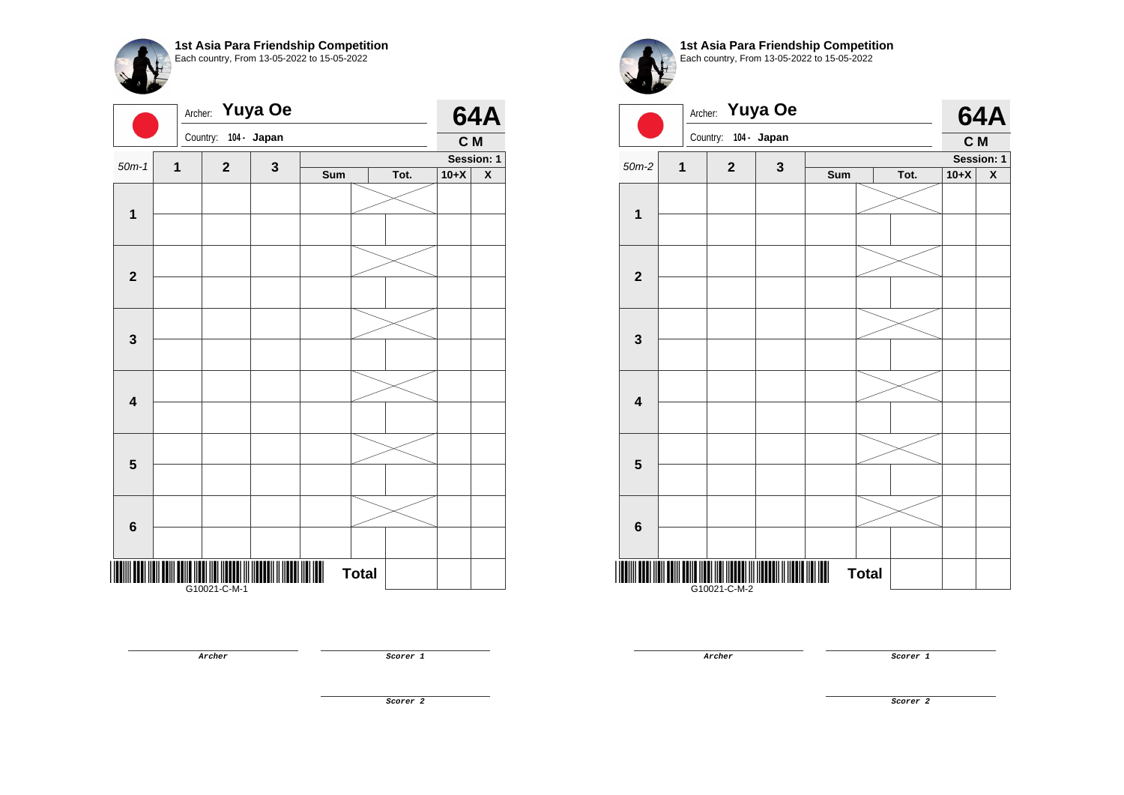| 1st Asia Para Friendship Competition<br>Each country, From 13-05-2022 to 15-05-2022 |
|-------------------------------------------------------------------------------------|
|                                                                                     |

| $50m-1$<br>$\mathbf 1$  | Country:<br>$\mathbf{1}$ | $\mathbf{2}$ | 104 - Japan |     |              |      |        |                         |
|-------------------------|--------------------------|--------------|-------------|-----|--------------|------|--------|-------------------------|
|                         |                          |              |             |     |              |      | C M    |                         |
|                         |                          |              | 3           |     |              |      |        | Session: 1              |
|                         |                          |              |             | Sum |              | Tot. | $10+X$ | $\overline{\textbf{X}}$ |
|                         |                          |              |             |     |              |      |        |                         |
|                         |                          |              |             |     |              |      |        |                         |
|                         |                          |              |             |     |              |      |        |                         |
|                         |                          |              |             |     |              |      |        |                         |
| $\mathbf{2}$            |                          |              |             |     |              |      |        |                         |
|                         |                          |              |             |     |              |      |        |                         |
|                         |                          |              |             |     |              |      |        |                         |
|                         |                          |              |             |     |              |      |        |                         |
| $\mathbf 3$             |                          |              |             |     |              |      |        |                         |
|                         |                          |              |             |     |              |      |        |                         |
|                         |                          |              |             |     |              |      |        |                         |
| $\overline{\mathbf{4}}$ |                          |              |             |     |              |      |        |                         |
|                         |                          |              |             |     |              |      |        |                         |
|                         |                          |              |             |     |              |      |        |                         |
|                         |                          |              |             |     |              |      |        |                         |
| $\overline{\mathbf{5}}$ |                          |              |             |     |              |      |        |                         |
|                         |                          |              |             |     |              |      |        |                         |
|                         |                          |              |             |     |              |      |        |                         |
| 6                       |                          |              |             |     |              |      |        |                         |
|                         |                          |              |             |     |              |      |        |                         |
|                         |                          |              |             |     |              |      |        |                         |
| ║║                      | G10021-C-M-1             |              |             |     | <b>Total</b> |      |        |                         |

**Archer Scorer 1** 



**1st Asia Para Friendship Competition** Each country, From 13-05-2022 to 15-05-2022

|                         | Archer: |                      | Yuya Oe      |     |              |      |        | <b>64A</b>         |
|-------------------------|---------|----------------------|--------------|-----|--------------|------|--------|--------------------|
|                         |         | Country: 104 - Japan |              |     |              |      | C M    |                    |
| $50m-2$                 | 1       | $\mathbf{2}$         | $\mathbf{3}$ |     |              |      |        | Session: 1         |
|                         |         |                      |              | Sum |              | Tot. | $10+X$ | $\pmb{\mathsf{X}}$ |
|                         |         |                      |              |     |              |      |        |                    |
| $\overline{1}$          |         |                      |              |     |              |      |        |                    |
|                         |         |                      |              |     |              |      |        |                    |
| $\overline{\mathbf{2}}$ |         |                      |              |     |              |      |        |                    |
|                         |         |                      |              |     |              |      |        |                    |
| $\mathbf{3}$            |         |                      |              |     |              |      |        |                    |
|                         |         |                      |              |     |              |      |        |                    |
| $\overline{\mathbf{4}}$ |         |                      |              |     |              |      |        |                    |
|                         |         |                      |              |     |              |      |        |                    |
| 5                       |         |                      |              |     |              |      |        |                    |
|                         |         |                      |              |     |              |      |        |                    |
| $\bf 6$                 |         |                      |              |     |              |      |        |                    |
|                         |         | G10021-C-M-2         |              |     | <b>Total</b> |      |        |                    |

**Archer Scorer 1**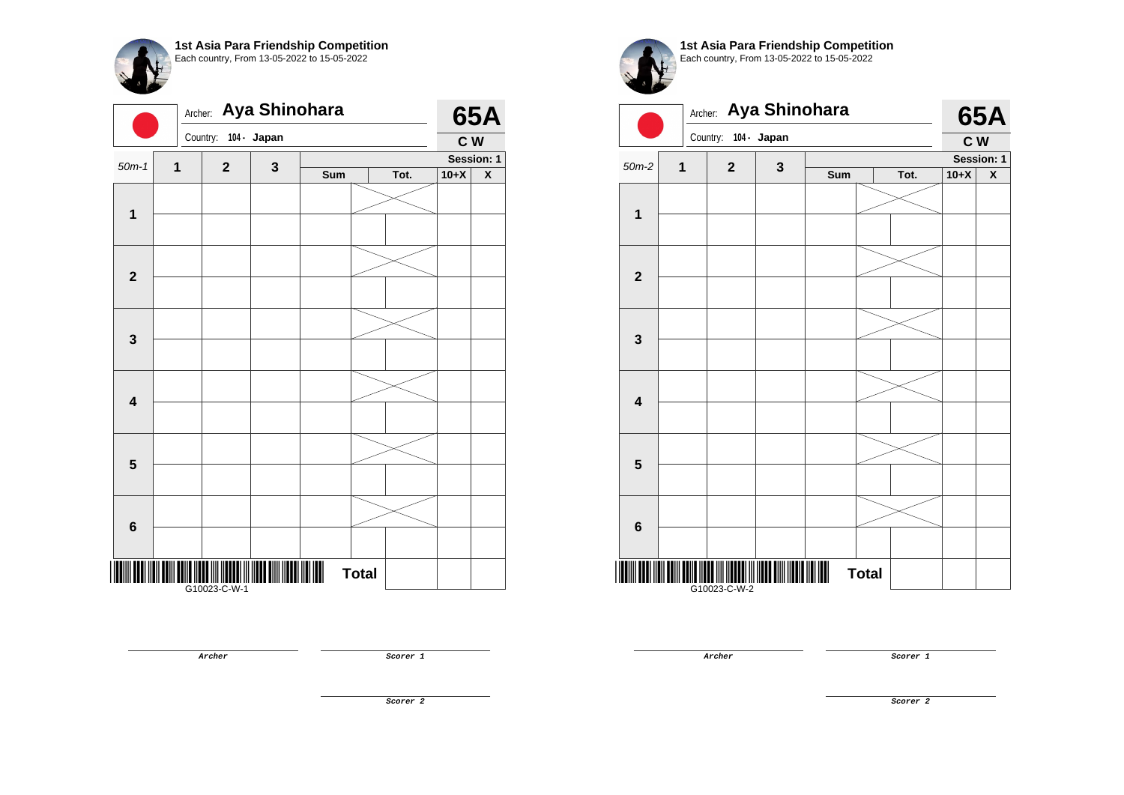|                         | Archer:      |                          | Aya Shinohara |     |              |            |        | <b>65A</b>              |
|-------------------------|--------------|--------------------------|---------------|-----|--------------|------------|--------|-------------------------|
|                         | Country:     |                          | 104 - Japan   |     |              |            | C W    |                         |
| $50m-1$                 | $\mathbf{1}$ | $\mathbf{2}$             | 3             |     |              | Session: 1 |        |                         |
|                         |              |                          |               | Sum |              | Tot.       | $10+X$ | $\overline{\textbf{X}}$ |
|                         |              |                          |               |     |              |            |        |                         |
| $\mathbf{1}$            |              |                          |               |     |              |            |        |                         |
|                         |              |                          |               |     |              |            |        |                         |
|                         |              |                          |               |     |              |            |        |                         |
| $\mathbf{2}$            |              |                          |               |     |              |            |        |                         |
|                         |              |                          |               |     |              |            |        |                         |
|                         |              |                          |               |     |              |            |        |                         |
|                         |              |                          |               |     |              |            |        |                         |
| 3                       |              |                          |               |     |              |            |        |                         |
|                         |              |                          |               |     |              |            |        |                         |
|                         |              |                          |               |     |              |            |        |                         |
| $\overline{\mathbf{4}}$ |              |                          |               |     |              |            |        |                         |
|                         |              |                          |               |     |              |            |        |                         |
|                         |              |                          |               |     |              |            |        |                         |
|                         |              |                          |               |     |              |            |        |                         |
| 5                       |              |                          |               |     |              |            |        |                         |
|                         |              |                          |               |     |              |            |        |                         |
|                         |              |                          |               |     |              |            |        |                         |
| $6\phantom{1}$          |              |                          |               |     |              |            |        |                         |
|                         |              |                          |               |     |              |            |        |                         |
|                         |              |                          |               |     |              |            |        |                         |
|                         |              | <br> -<br>  G10023-C-W-1 |               | I   | <b>Total</b> |            |        |                         |

**1st Asia Para Friendship Competition** Each country, From 13-05-2022 to 15-05-2022



**Archer Scorer 1** 

**Archer Scorer 1** 

**Scorer 2**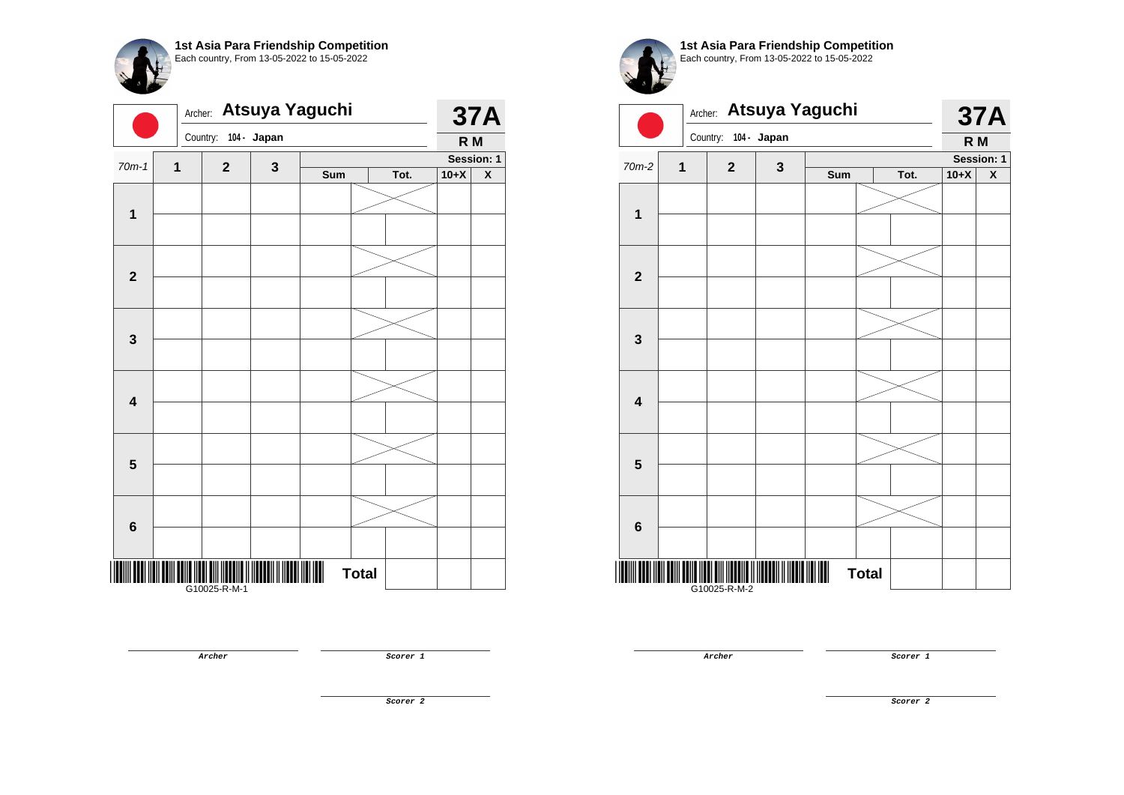| Atsuya Yaguchi<br>Archer: |   |              |             |     |              |      |        | <b>37A</b>              |
|---------------------------|---|--------------|-------------|-----|--------------|------|--------|-------------------------|
|                           |   | Country:     | 104 - Japan |     |              |      | R M    |                         |
| $70m-1$                   | 1 | $\mathbf{2}$ | 3           |     |              |      |        | Session: 1              |
|                           |   |              |             | Sum |              | Tot. | $10+X$ | $\overline{\textbf{X}}$ |
|                           |   |              |             |     |              |      |        |                         |
| $\mathbf{1}$              |   |              |             |     |              |      |        |                         |
|                           |   |              |             |     |              |      |        |                         |
|                           |   |              |             |     |              |      |        |                         |
| $\mathbf{2}$              |   |              |             |     |              |      |        |                         |
|                           |   |              |             |     |              |      |        |                         |
|                           |   |              |             |     |              |      |        |                         |
| $\mathbf{3}$              |   |              |             |     |              |      |        |                         |
|                           |   |              |             |     |              |      |        |                         |
|                           |   |              |             |     |              |      |        |                         |
| $\overline{\mathbf{4}}$   |   |              |             |     |              |      |        |                         |
|                           |   |              |             |     |              |      |        |                         |
|                           |   |              |             |     |              |      |        |                         |
|                           |   |              |             |     |              |      |        |                         |
| $\overline{\mathbf{5}}$   |   |              |             |     |              |      |        |                         |
|                           |   |              |             |     |              |      |        |                         |
|                           |   |              |             |     |              |      |        |                         |
| 6                         |   |              |             |     |              |      |        |                         |
|                           |   |              |             |     |              |      |        |                         |
| ║                         |   |              |             |     | <b>Total</b> |      |        |                         |
|                           |   | G10025-R-M-1 |             |     |              |      |        |                         |

**Archer Scorer 1** 



**1st Asia Para Friendship Competition** Each country, From 13-05-2022 to 15-05-2022



**Archer Scorer 1** 

**Scorer 2**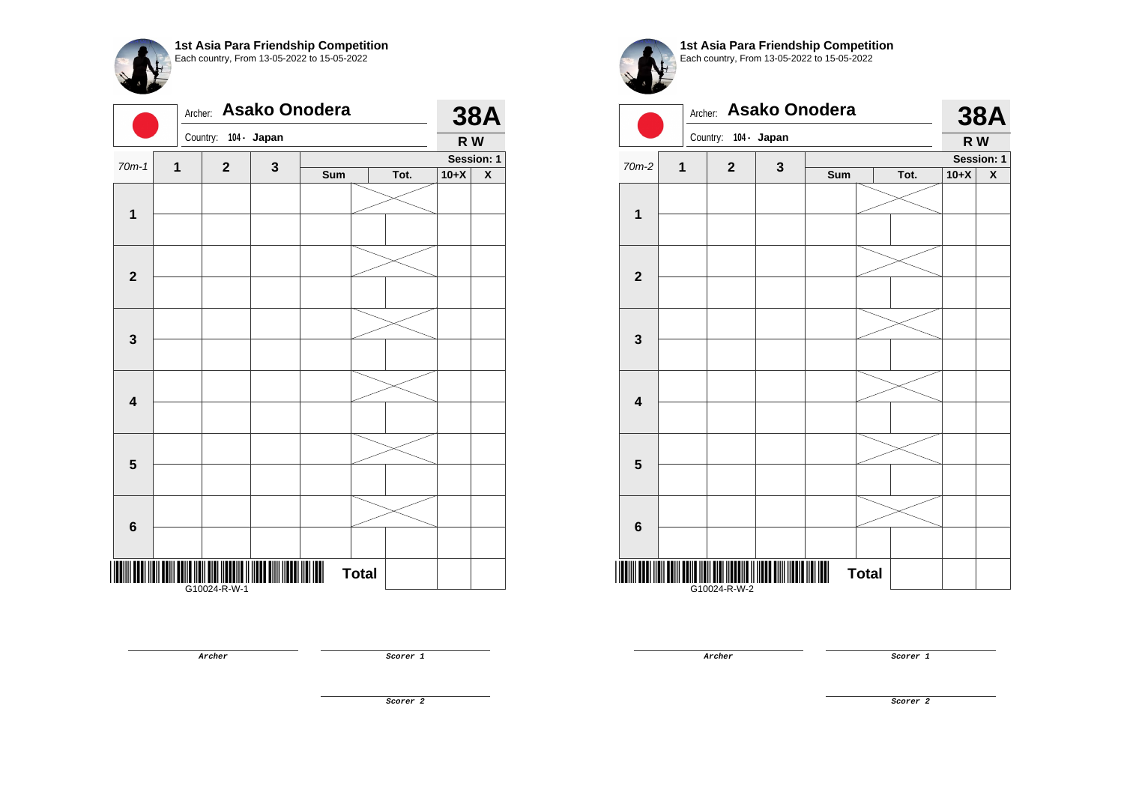|                         | Asako Onodera<br>Archer: |              |             |     |              |      |        | <b>38A</b>              |
|-------------------------|--------------------------|--------------|-------------|-----|--------------|------|--------|-------------------------|
|                         |                          | Country:     | 104 - Japan |     |              |      | R W    |                         |
| $70m-1$                 | 1                        | $\mathbf{2}$ | 3           |     |              |      |        | Session: 1              |
|                         |                          |              |             | Sum |              | Tot. | $10+X$ | $\overline{\textbf{X}}$ |
|                         |                          |              |             |     |              |      |        |                         |
| $\mathbf{1}$            |                          |              |             |     |              |      |        |                         |
|                         |                          |              |             |     |              |      |        |                         |
|                         |                          |              |             |     |              |      |        |                         |
| $\mathbf{2}$            |                          |              |             |     |              |      |        |                         |
|                         |                          |              |             |     |              |      |        |                         |
|                         |                          |              |             |     |              |      |        |                         |
| $\mathbf{3}$            |                          |              |             |     |              |      |        |                         |
|                         |                          |              |             |     |              |      |        |                         |
|                         |                          |              |             |     |              |      |        |                         |
|                         |                          |              |             |     |              |      |        |                         |
| $\overline{\mathbf{4}}$ |                          |              |             |     |              |      |        |                         |
|                         |                          |              |             |     |              |      |        |                         |
|                         |                          |              |             |     |              |      |        |                         |
| $\overline{\mathbf{5}}$ |                          |              |             |     |              |      |        |                         |
|                         |                          |              |             |     |              |      |        |                         |
|                         |                          |              |             |     |              |      |        |                         |
| 6                       |                          |              |             |     |              |      |        |                         |
|                         |                          |              |             |     |              |      |        |                         |
|                         |                          |              |             |     |              |      |        |                         |
| ║                       |                          | G10024-R-W-1 |             |     | <b>Total</b> |      |        |                         |

**Archer Scorer 1** 



**1st Asia Para Friendship Competition** Each country, From 13-05-2022 to 15-05-2022



**Archer Scorer 1**